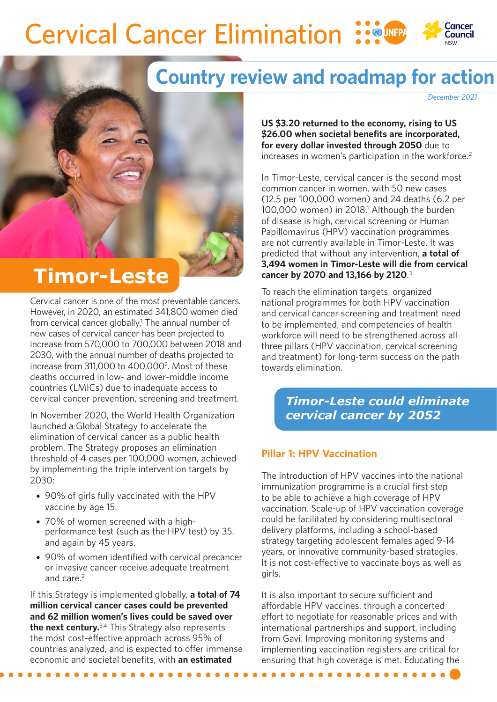# **Cervical Cancer Elimination**

Photo: Sho*bhan* Singh



*December 2021*

Council

**US \$3.20 returned to the economy, rising to US \$26.00 when societal benefits are incorporated, for every dollar invested through 2050** due to increases in women's participation in the workforce.<sup>2</sup>

In Timor-Leste, cervical cancer is the second most common cancer in women, with 50 new cases (12.5 per 100,000 women) and 24 deaths (6.2 per 100,000 women) in 2018.<sup>1</sup> Although the burden of disease is high, cervical screening or Human Papillomavirus (HPV) vaccination programmes are not currently available in Timor-Leste. It was predicted that without any intervention, **a total of 3,494 women in Timor-Leste will die from cervical cancer by 2070 and 13,166 by 2120**. 3

To reach the elimination targets, organized national programmes for both HPV vaccination and cervical cancer screening and treatment need to be implemented, and competencies of health workforce will need to be strengthened across all three pillars (HPV vaccination, cervical screening and treatment) for long-term success on the path towards elimination.

> *Timor-Leste could eliminate cervical cancer by 2052*

### **Pillar 1: HPV Vaccination**

The introduction of HPV vaccines into the national immunization programme is a crucial first step to be able to achieve a high coverage of HPV vaccination. Scale-up of HPV vaccination coverage could be facilitated by considering multisectoral delivery platforms, including a school-based strategy targeting adolescent females aged 9-14 years, or innovative community-based strategies. It is not cost-effective to vaccinate boys as well as girls.

It is also important to secure sufficient and affordable HPV vaccines, through a concerted effort to negotiate for reasonable prices and with international partnerships and support, including from Gavi. Improving monitoring systems and implementing vaccination registers are critical for ensuring that high coverage is met. Educating the

## **Timor-Leste**

Cervical cancer is one of the most preventable cancers. However, in 2020, an estimated 341,800 women died from cervical cancer globally.<sup>1</sup> The annual number of new cases of cervical cancer has been projected to increase from 570,000 to 700,000 between 2018 and 2030, with the annual number of deaths projected to increase from 311,000 to 400,0002. Most of these deaths occurred in low- and lower-middle income countries (LMICs) due to inadequate access to cervical cancer prevention, screening and treatment.

In November 2020, the World Health Organization launched a Global Strategy to accelerate the elimination of cervical cancer as a public health problem. The Strategy proposes an elimination threshold of 4 cases per 100,000 women, achieved by implementing the triple intervention targets by 2030:

- 90% of girls fully vaccinated with the HPV vaccine by age 15.
- 70% of women screened with a highperformance test (such as the HPV test) by 35, and again by 45 years.
- 90% of women identified with cervical precancer or invasive cancer receive adequate treatment and care.<sup>2</sup>

If this Strategy is implemented globally, **a total of 74 million cervical cancer cases could be prevented and 62 million women's lives could be saved over the next century.**3,4 This Strategy also represents the most cost-effective approach across 95% of countries analyzed, and is expected to offer immense economic and societal benefits, with **an estimated**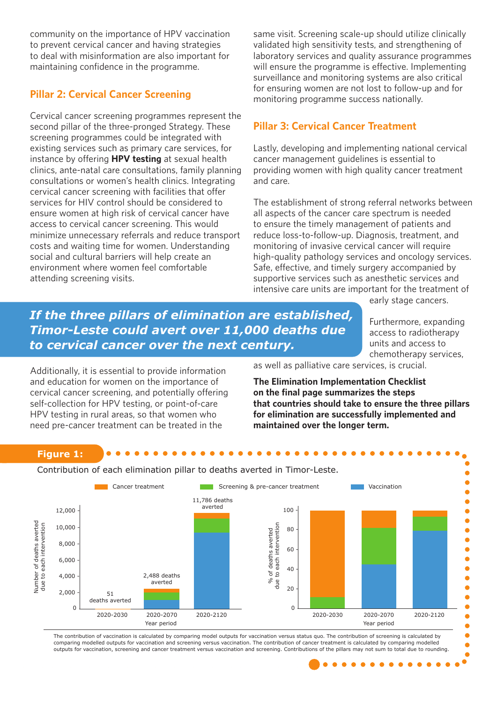community on the importance of HPV vaccination to prevent cervical cancer and having strategies to deal with misinformation are also important for maintaining confidence in the programme.

#### **Pillar 2: Cervical Cancer Screening**

Cervical cancer screening programmes represent the second pillar of the three-pronged Strategy. These screening programmes could be integrated with existing services such as primary care services, for instance by offering **HPV testing** at sexual health clinics, ante-natal care consultations, family planning consultations or women's health clinics. Integrating cervical cancer screening with facilities that offer services for HIV control should be considered to ensure women at high risk of cervical cancer have access to cervical cancer screening. This would minimize unnecessary referrals and reduce transport costs and waiting time for women. Understanding social and cultural barriers will help create an environment where women feel comfortable attending screening visits.

same visit. Screening scale-up should utilize clinically validated high sensitivity tests, and strengthening of laboratory services and quality assurance programmes will ensure the programme is effective. Implementing surveillance and monitoring systems are also critical for ensuring women are not lost to follow-up and for monitoring programme success nationally.

#### **Pillar 3: Cervical Cancer Treatment**

Lastly, developing and implementing national cervical cancer management guidelines is essential to providing women with high quality cancer treatment and care.

The establishment of strong referral networks between all aspects of the cancer care spectrum is needed to ensure the timely management of patients and reduce loss-to-follow-up. Diagnosis, treatment, and monitoring of invasive cervical cancer will require high-quality pathology services and oncology services. Safe, effective, and timely surgery accompanied by supportive services such as anesthetic services and intensive care units are important for the treatment of

### *If the three pillars of elimination are established, Timor-Leste could avert over 11,000 deaths due to cervical cancer over the next century.*

early stage cancers.

Furthermore, expanding access to radiotherapy units and access to chemotherapy services,

 $\bullet$ 

Additionally, it is essential to provide information and education for women on the importance of cervical cancer screening, and potentially offering self-collection for HPV testing, or point-of-care HPV testing in rural areas, so that women who need pre-cancer treatment can be treated in the

as well as palliative care services, is crucial.

**The Elimination Implementation Checklist on the final page summarizes the steps that countries should take to ensure the three pillars for elimination are successfully implemented and maintained over the longer term.**

#### **Figure 1:**

Contribution of each elimination pillar to deaths averted in Timor-Leste.



The contribution of vaccination is calculated by comparing model outputs for vaccination versus status quo. The contribution of screening is calculated by comparing modelled outputs for vaccination and screening versus vaccination. The contribution of cancer treatment is calculated by comparing modelled outputs for vaccination, screening and cancer treatment versus vaccination and screening. Contributions of the pillars may not sum to total due to rounding.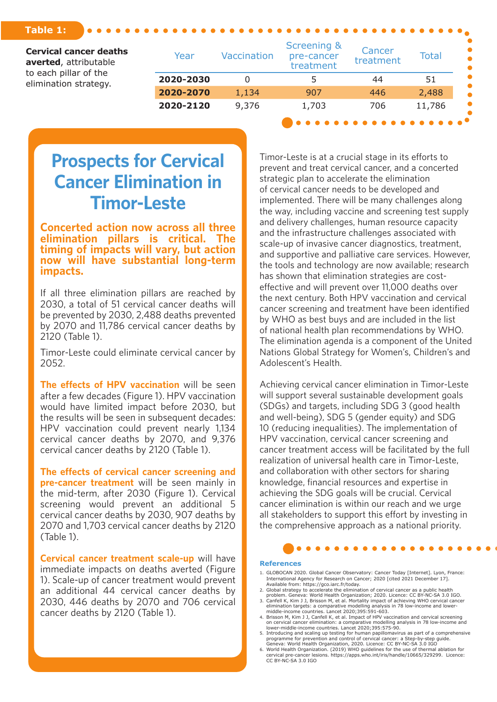#### **Table 1:**

| <b>Cervical cancer deaths</b><br>averted, attributable<br>to each pillar of the<br>elimination strategy. | Year      | <b>Vaccination</b> | Screening &<br>pre-cancer<br>treatment | Cancer<br>treatment | <b>Total</b> |
|----------------------------------------------------------------------------------------------------------|-----------|--------------------|----------------------------------------|---------------------|--------------|
|                                                                                                          | 2020-2030 |                    |                                        | 44                  | 51           |
|                                                                                                          | 2020-2070 | 1,134              | 907                                    | 446                 | 2,488        |
|                                                                                                          | 2020-2120 | 9,376              | 1,703                                  | 706                 | 11,786       |
|                                                                                                          |           |                    |                                        |                     |              |

### **Prospects for Cervical Cancer Elimination in Timor-Leste**

**Concerted action now across all three elimination pillars is critical. The timing of impacts will vary, but action now will have substantial long-term impacts.**

If all three elimination pillars are reached by 2030, a total of 51 cervical cancer deaths will be prevented by 2030, 2,488 deaths prevented by 2070 and 11,786 cervical cancer deaths by 2120 (Table 1).

Timor-Leste could eliminate cervical cancer by 2052.

**The effects of HPV vaccination** will be seen after a few decades (Figure 1). HPV vaccination would have limited impact before 2030, but the results will be seen in subsequent decades: HPV vaccination could prevent nearly 1,134 cervical cancer deaths by 2070, and 9,376 cervical cancer deaths by 2120 (Table 1).

**The effects of cervical cancer screening and pre-cancer treatment** will be seen mainly in the mid-term, after 2030 (Figure 1). Cervical screening would prevent an additional 5 cervical cancer deaths by 2030, 907 deaths by 2070 and 1,703 cervical cancer deaths by 2120 (Table 1).

**Cervical cancer treatment scale-up** will have immediate impacts on deaths averted (Figure 1). Scale-up of cancer treatment would prevent an additional 44 cervical cancer deaths by 2030, 446 deaths by 2070 and 706 cervical cancer deaths by 2120 (Table 1).

Timor-Leste is at a crucial stage in its efforts to prevent and treat cervical cancer, and a concerted strategic plan to accelerate the elimination of cervical cancer needs to be developed and implemented. There will be many challenges along the way, including vaccine and screening test supply and delivery challenges, human resource capacity and the infrastructure challenges associated with scale-up of invasive cancer diagnostics, treatment, and supportive and palliative care services. However, the tools and technology are now available; research has shown that elimination strategies are costeffective and will prevent over 11,000 deaths over the next century. Both HPV vaccination and cervical cancer screening and treatment have been identified by WHO as best buys and are included in the list of national health plan recommendations by WHO. The elimination agenda is a component of the United Nations Global Strategy for Women's, Children's and Adolescent's Health.

Achieving cervical cancer elimination in Timor-Leste will support several sustainable development goals (SDGs) and targets, including SDG 3 (good health and well-being), SDG 5 (gender equity) and SDG 10 (reducing inequalities). The implementation of HPV vaccination, cervical cancer screening and cancer treatment access will be facilitated by the full realization of universal health care in Timor-Leste, and collaboration with other sectors for sharing knowledge, financial resources and expertise in achieving the SDG goals will be crucial. Cervical cancer elimination is within our reach and we urge all stakeholders to support this effort by investing in the comprehensive approach as a national priority.

#### **References**

- 1. GLOBOCAN 2020. Global Cancer Observatory: Cancer Today [Internet]. Lyon, France: International Agency for Research on Cancer; 2020 [cited 2021 December 17].
- Available from: https://gco.iarc.fr/today. 2. Global strategy to accelerate the elimination of cervical cancer as a public health
- problem. Geneva: World Health Organization; 2020. Licence: CC BY-NC-SA 3.0 IGO.<br>3. Canfell K, Kim J J, Brisson M, et al. Mortality impact of achieving WHO cervical cancer<br>elimination targets: a comparative modelling analys
- 4. Brisson M, Kim J J, Canfell K, et al. Impact of HPV vaccination and cervical screening<br>on cervical cancer elimination: a comparative modelling analysis in 78 low-income and<br>lower-middle-income countries. Lancet 2020;395
- 5. Introducing and scaling up testing for human papillomavirus as part of a comprehensive<br>programme for prevention and control of cervical cancer: a Step-by-step guide.<br>Geneva: World Health Organization, 2020. Licence: CC
- 6. World Health Organization. (2019) WHO guidelines for the use of thermal ablation for cervical pre-cancer lesions. https://apps.who.int/iris/handle/10665/329299. Licence: CC BY-NC-SA 3.0 IGO